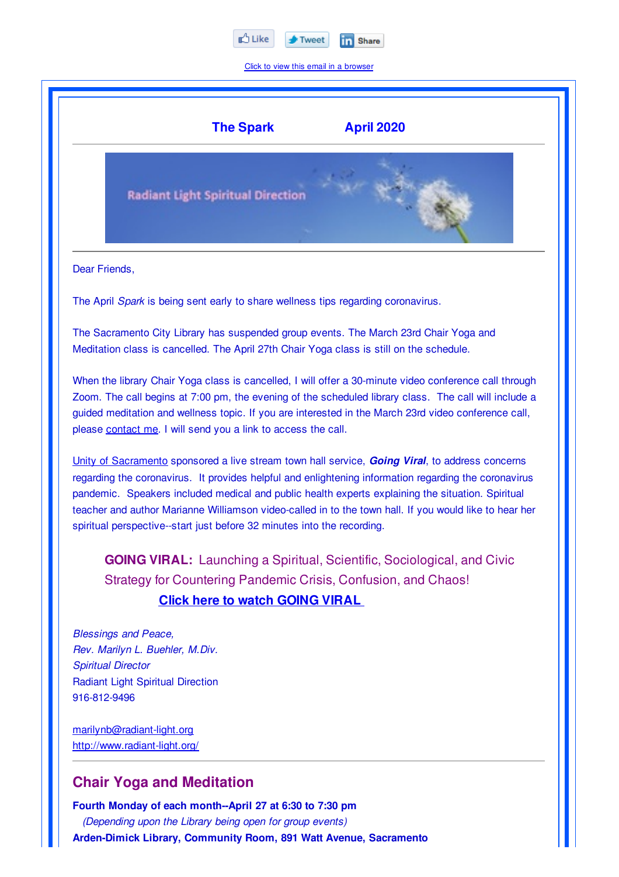

Click to view this email in a browser



**Fourth Monday of each month--April 27 at 6:30 to 7:30 pm** *(Depending upon the Library being open for group events)* **Arden-Dimick Library, Community Room, 891 Watt Avenue, Sacramento**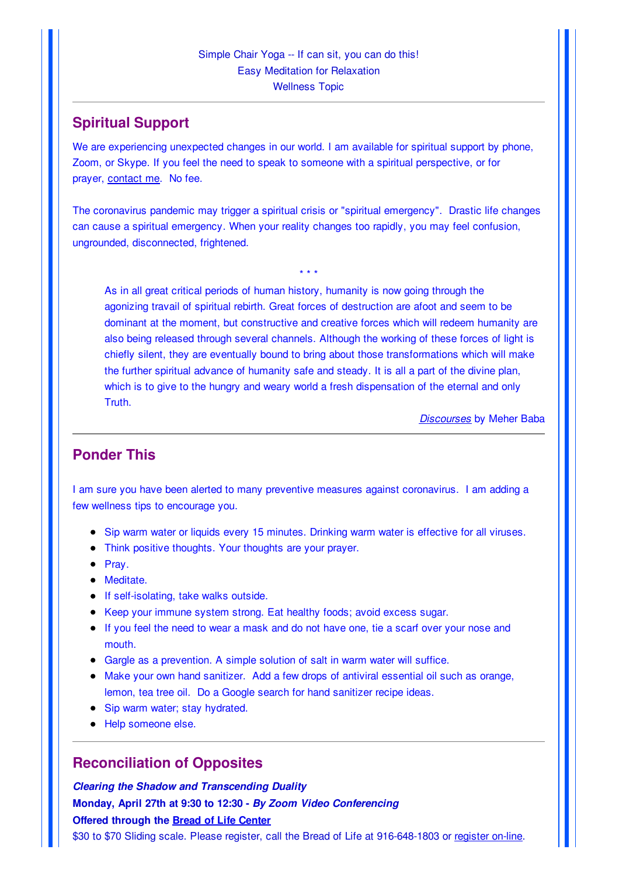# **Spiritual Support**

We are experiencing unexpected changes in our world. I am available for spiritual support by phone, Zoom, or Skype. If you feel the need to speak to someone with a spiritual perspective, or for prayer, contact me. No fee.

The coronavirus pandemic may trigger a spiritual crisis or "spiritual emergency". Drastic life changes can cause a spiritual emergency. When your reality changes too rapidly, you may feel confusion, ungrounded, disconnected, frightened.

\* \* \*

As in all great critical periods of human history, humanity is now going through the agonizing travail of spiritual rebirth. Great forces of destruction are afoot and seem to be dominant at the moment, but constructive and creative forces which will redeem humanity are also being released through several channels. Although the working of these forces of light is chiefly silent, they are eventually bound to bring about those transformations which will make the further spiritual advance of humanity safe and steady. It is all a part of the divine plan, which is to give to the hungry and weary world a fresh dispensation of the eternal and only Truth.

*Discourses* by Meher Baba

### **Ponder This**

I am sure you have been alerted to many preventive measures against coronavirus. I am adding a few wellness tips to encourage you.

- Sip warm water or liquids every 15 minutes. Drinking warm water is effective for all viruses.
- Think positive thoughts. Your thoughts are your prayer.
- $\bullet$  Pray.
- Meditate.
- **If self-isolating, take walks outside.**
- Keep your immune system strong. Eat healthy foods; avoid excess sugar.
- If you feel the need to wear a mask and do not have one, tie a scarf over your nose and mouth.
- Gargle as a prevention. A simple solution of salt in warm water will suffice.
- Make your own hand sanitizer. Add a few drops of antiviral essential oil such as orange, lemon, tea tree oil. Do a Google search for hand sanitizer recipe ideas.
- Sip warm water; stay hydrated.
- Help someone else.

### **Reconciliation of Opposites**

*Clearing the Shadow and Transcending Duality* **Monday, April 27th at 9:30 to 12:30 -** *By Zoom Video Conferencing* **Offered through the Bread of Life Center** \$30 to \$70 Sliding scale. Please register, call the Bread of Life at 916-648-1803 or register on-line.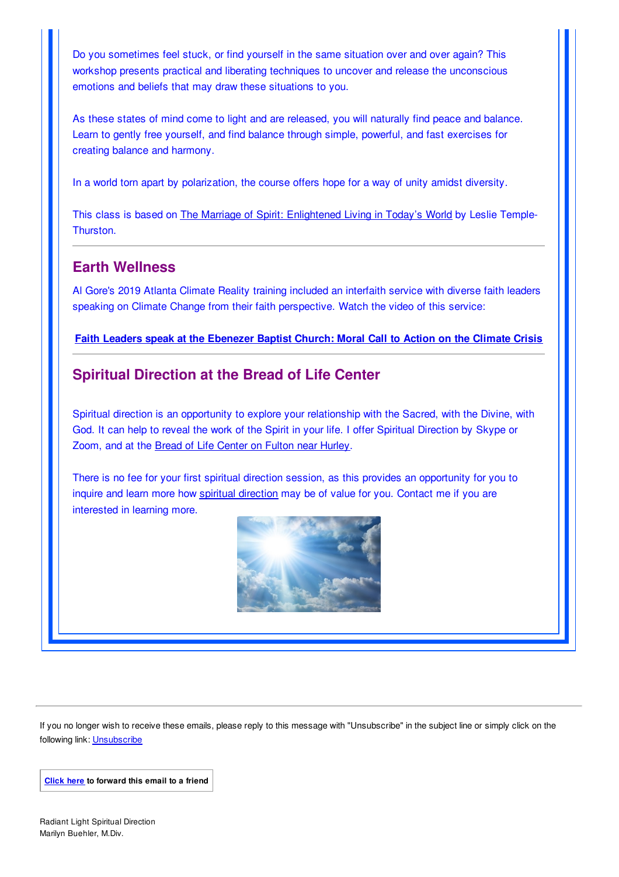Do you sometimes feel stuck, or find yourself in the same situation over and over again? This workshop presents practical and liberating techniques to uncover and release the unconscious emotions and beliefs that may draw these situations to you.

As these states of mind come to light and are released, you will naturally find peace and balance. Learn to gently free yourself, and find balance through simple, powerful, and fast exercises for creating balance and harmony.

In a world torn apart by polarization, the course offers hope for a way of unity amidst diversity.

This class is based on The Marriage of Spirit: Enlightened Living in Today's World by Leslie Temple-Thurston.

# **Earth Wellness**

Al Gore's 2019 Atlanta Climate Reality training included an interfaith service with diverse faith leaders speaking on Climate Change from their faith perspective. Watch the video of this service:

#### **Faith Leaders speak at the Ebenezer Baptist Church: Moral Call to Action on the Climate Crisis**

# **Spiritual Direction at the Bread of Life Center**

Spiritual direction is an opportunity to explore your relationship with the Sacred, with the Divine, with God. It can help to reveal the work of the Spirit in your life. I offer Spiritual Direction by Skype or Zoom, and at the Bread of Life Center on Fulton near Hurley.

There is no fee for your first spiritual direction session, as this provides an opportunity for you to inquire and learn more how spiritual direction may be of value for you. Contact me if you are interested in learning more.



If you no longer wish to receive these emails, please reply to this message with "Unsubscribe" in the subject line or simply click on the following link: Unsubscribe

**Click here to forward this email to a friend**